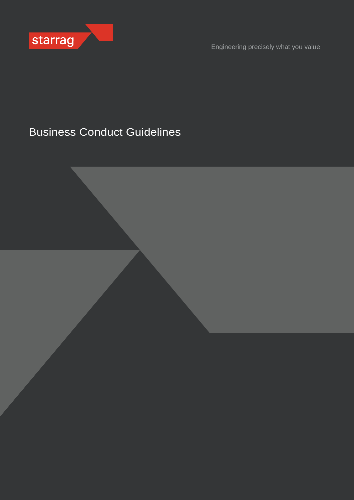

Engineering precisely what you value

# Business Conduct Guidelines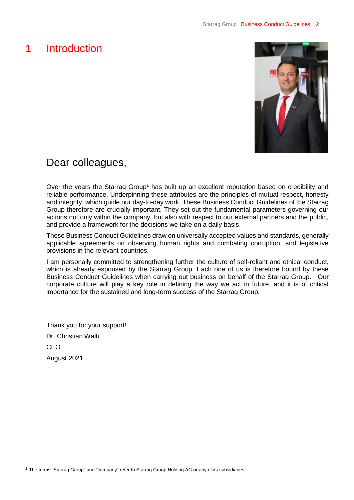# <span id="page-1-0"></span>1 Introduction



## Dear colleagues,

Over the years the Starrag Group<sup>1</sup> has built up an excellent reputation based on credibility and reliable performance. Underpinning these attributes are the principles of mutual respect, honesty and integrity, which guide our day-to-day work. These Business Conduct Guidelines of the Starrag Group therefore are crucially important. They set out the fundamental parameters governing our actions not only within the company, but also with respect to our external partners and the public, and provide a framework for the decisions we take on a daily basis.

These Business Conduct Guidelines draw on universally accepted values and standards, generally applicable agreements on observing human rights and combating corruption, and legislative provisions in the relevant countries.

I am personally committed to strengthening further the culture of self-reliant and ethical conduct, which is already espoused by the Starrag Group. Each one of us is therefore bound by these Business Conduct Guidelines when carrying out business on behalf of the Starrag Group. Our corporate culture will play a key role in defining the way we act in future, and it is of critical importance for the sustained and long-term success of the Starrag Group.

Thank you for your support! Dr. Christian Walti CEO August 2021

<sup>1</sup> The terms "Starrag Group" and "company" refer to Starrag Group Holding AG or any of its subsidiaries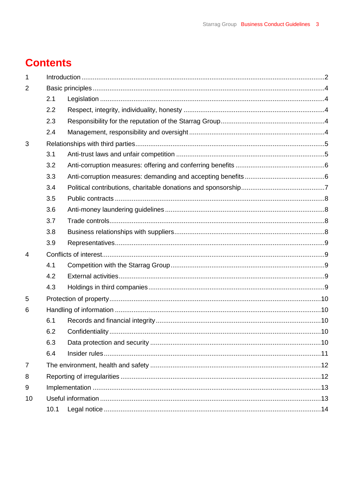# **Contents**

| $\mathbf 1$    |      |  |  |  |
|----------------|------|--|--|--|
| $\overline{2}$ |      |  |  |  |
|                | 2.1  |  |  |  |
|                | 2.2  |  |  |  |
|                | 2.3  |  |  |  |
|                | 2.4  |  |  |  |
| 3              |      |  |  |  |
|                | 3.1  |  |  |  |
|                | 3.2  |  |  |  |
|                | 3.3  |  |  |  |
|                | 3.4  |  |  |  |
|                | 3.5  |  |  |  |
|                | 3.6  |  |  |  |
|                | 3.7  |  |  |  |
|                | 3.8  |  |  |  |
|                | 3.9  |  |  |  |
| 4              |      |  |  |  |
|                | 4.1  |  |  |  |
|                | 4.2  |  |  |  |
|                | 4.3  |  |  |  |
| 5              |      |  |  |  |
| 6              |      |  |  |  |
|                | 6.1  |  |  |  |
|                | 6.2  |  |  |  |
|                | 6.3  |  |  |  |
|                | 6.4  |  |  |  |
| $\overline{7}$ |      |  |  |  |
| 8              |      |  |  |  |
| 9              |      |  |  |  |
| 10             |      |  |  |  |
|                | 10.1 |  |  |  |
|                |      |  |  |  |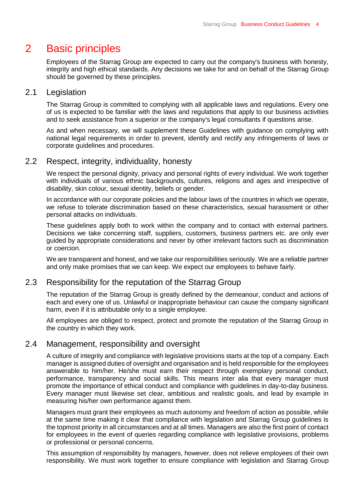## <span id="page-3-0"></span>2 Basic principles

Employees of the Starrag Group are expected to carry out the company's business with honesty, integrity and high ethical standards. Any decisions we take for and on behalf of the Starrag Group should be governed by these principles.

#### <span id="page-3-1"></span>2.1 Legislation

The Starrag Group is committed to complying with all applicable laws and regulations. Every one of us is expected to be familiar with the laws and regulations that apply to our business activities and to seek assistance from a superior or the company's legal consultants if questions arise.

As and when necessary, we will supplement these Guidelines with guidance on complying with national legal requirements in order to prevent, identify and rectify any infringements of laws or corporate guidelines and procedures.

### <span id="page-3-2"></span>2.2 Respect, integrity, individuality, honesty

We respect the personal dignity, privacy and personal rights of every individual. We work together with individuals of various ethnic backgrounds, cultures, religions and ages and irrespective of disability, skin colour, sexual identity, beliefs or gender.

In accordance with our corporate policies and the labour laws of the countries in which we operate, we refuse to tolerate discrimination based on these characteristics, sexual harassment or other personal attacks on individuals.

These guidelines apply both to work within the company and to contact with external partners. Decisions we take concerning staff, suppliers, customers, business partners etc. are only ever guided by appropriate considerations and never by other irrelevant factors such as discrimination or coercion.

We are transparent and honest, and we take our responsibilities seriously. We are a reliable partner and only make promises that we can keep. We expect our employees to behave fairly.

#### <span id="page-3-3"></span>2.3 Responsibility for the reputation of the Starrag Group

The reputation of the Starrag Group is greatly defined by the demeanour, conduct and actions of each and every one of us. Unlawful or inappropriate behaviour can cause the company significant harm, even if it is attributable only to a single employee.

All employees are obliged to respect, protect and promote the reputation of the Starrag Group in the country in which they work.

### <span id="page-3-4"></span>2.4 Management, responsibility and oversight

A culture of integrity and compliance with legislative provisions starts at the top of a company. Each manager is assigned duties of oversight and organisation and is held responsible for the employees answerable to him/her. He/she must earn their respect through exemplary personal conduct, performance, transparency and social skills. This means inter alia that every manager must promote the importance of ethical conduct and compliance with guidelines in day-to-day business. Every manager must likewise set clear, ambitious and realistic goals, and lead by example in measuring his/her own performance against them.

Managers must grant their employees as much autonomy and freedom of action as possible, while at the same time making it clear that compliance with legislation and Starrag Group guidelines is the topmost priority in all circumstances and at all times. Managers are also the first point of contact for employees in the event of queries regarding compliance with legislative provisions, problems or professional or personal concerns.

This assumption of responsibility by managers, however, does not relieve employees of their own responsibility. We must work together to ensure compliance with legislation and Starrag Group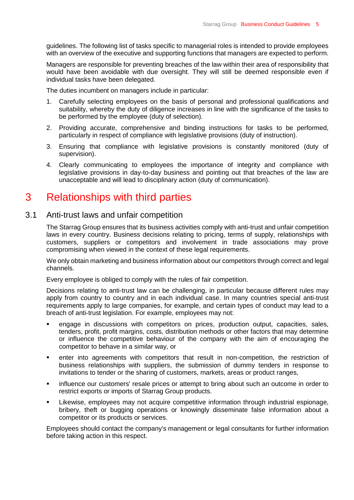guidelines. The following list of tasks specific to managerial roles is intended to provide employees with an overview of the executive and supporting functions that managers are expected to perform.

Managers are responsible for preventing breaches of the law within their area of responsibility that would have been avoidable with due oversight. They will still be deemed responsible even if individual tasks have been delegated.

The duties incumbent on managers include in particular:

- 1. Carefully selecting employees on the basis of personal and professional qualifications and suitability, whereby the duty of diligence increases in line with the significance of the tasks to be performed by the employee (duty of selection).
- 2. Providing accurate, comprehensive and binding instructions for tasks to be performed, particularly in respect of compliance with legislative provisions (duty of instruction).
- 3. Ensuring that compliance with legislative provisions is constantly monitored (duty of supervision).
- 4. Clearly communicating to employees the importance of integrity and compliance with legislative provisions in day-to-day business and pointing out that breaches of the law are unacceptable and will lead to disciplinary action (duty of communication).

## <span id="page-4-0"></span>3 Relationships with third parties

#### <span id="page-4-1"></span>3.1 Anti-trust laws and unfair competition

The Starrag Group ensures that its business activities comply with anti-trust and unfair competition laws in every country. Business decisions relating to pricing, terms of supply, relationships with customers, suppliers or competitors and involvement in trade associations may prove compromising when viewed in the context of these legal requirements.

We only obtain marketing and business information about our competitors through correct and legal channels.

Every employee is obliged to comply with the rules of fair competition.

Decisions relating to anti-trust law can be challenging, in particular because different rules may apply from country to country and in each individual case. In many countries special anti-trust requirements apply to large companies, for example, and certain types of conduct may lead to a breach of anti-trust legislation. For example, employees may not:

- engage in discussions with competitors on prices, production output, capacities, sales, tenders, profit, profit margins, costs, distribution methods or other factors that may determine or influence the competitive behaviour of the company with the aim of encouraging the competitor to behave in a similar way, or
- enter into agreements with competitors that result in non-competition, the restriction of business relationships with suppliers, the submission of dummy tenders in response to invitations to tender or the sharing of customers, markets, areas or product ranges,
- influence our customers' resale prices or attempt to bring about such an outcome in order to restrict exports or imports of Starrag Group products.
- Likewise, employees may not acquire competitive information through industrial espionage, bribery, theft or bugging operations or knowingly disseminate false information about a competitor or its products or services.

Employees should contact the company's management or legal consultants for further information before taking action in this respect.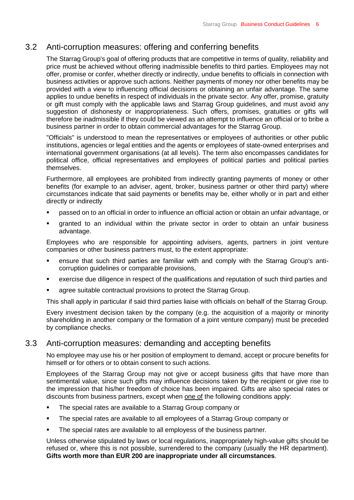## <span id="page-5-0"></span>3.2 Anti-corruption measures: offering and conferring benefits

The Starrag Group's goal of offering products that are competitive in terms of quality, reliability and price must be achieved without offering inadmissible benefits to third parties. Employees may not offer, promise or confer, whether directly or indirectly, undue benefits to officials in connection with business activities or approve such actions. Neither payments of money nor other benefits may be provided with a view to influencing official decisions or obtaining an unfair advantage. The same applies to undue benefits in respect of individuals in the private sector. Any offer, promise, gratuity or gift must comply with the applicable laws and Starrag Group guidelines, and must avoid any suggestion of dishonesty or inappropriateness. Such offers, promises, gratuities or gifts will therefore be inadmissible if they could be viewed as an attempt to influence an official or to bribe a business partner in order to obtain commercial advantages for the Starrag Group.

"Officials" is understood to mean the representatives or employees of authorities or other public institutions, agencies or legal entities and the agents or employees of state-owned enterprises and international government organisations (at all levels). The term also encompasses candidates for political office, official representatives and employees of political parties and political parties themselves.

Furthermore, all employees are prohibited from indirectly granting payments of money or other benefits (for example to an adviser, agent, broker, business partner or other third party) where circumstances indicate that said payments or benefits may be, either wholly or in part and either directly or indirectly

- passed on to an official in order to influence an official action or obtain an unfair advantage, or
- granted to an individual within the private sector in order to obtain an unfair business advantage.

Employees who are responsible for appointing advisers, agents, partners in joint venture companies or other business partners must, to the extent appropriate:

- ensure that such third parties are familiar with and comply with the Starrag Group's anticorruption guidelines or comparable provisions,
- exercise due diligence in respect of the qualifications and reputation of such third parties and
- agree suitable contractual provisions to protect the Starrag Group.

This shall apply in particular if said third parties liaise with officials on behalf of the Starrag Group.

Every investment decision taken by the company (e.g. the acquisition of a majority or minority shareholding in another company or the formation of a joint venture company) must be preceded by compliance checks.

### <span id="page-5-1"></span>3.3 Anti-corruption measures: demanding and accepting benefits

No employee may use his or her position of employment to demand, accept or procure benefits for himself or for others or to obtain consent to such actions.

Employees of the Starrag Group may not give or accept business gifts that have more than sentimental value, since such gifts may influence decisions taken by the recipient or give rise to the impression that his/her freedom of choice has been impaired. Gifts are also special rates or discounts from business partners, except when <u>one of</u> the following conditions apply:

- The special rates are available to a Starrag Group company or
- The special rates are available to all employees of a Starrag Group company or
- The special rates are available to all employess of the business partner.

Unless otherwise stipulated by laws or local regulations, inappropriately high-value gifts should be refused or, where this is not possible, surrendered to the company (usually the HR department). **Gifts worth more than EUR 200 are inappropriate under all circumstances**.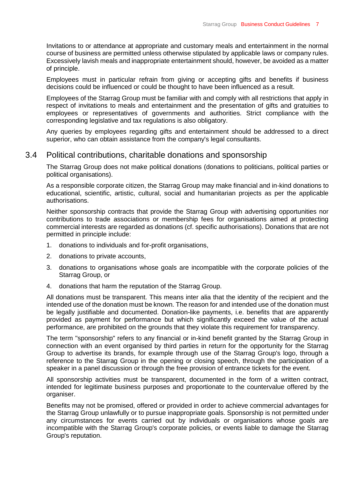Invitations to or attendance at appropriate and customary meals and entertainment in the normal course of business are permitted unless otherwise stipulated by applicable laws or company rules. Excessively lavish meals and inappropriate entertainment should, however, be avoided as a matter of principle.

Employees must in particular refrain from giving or accepting gifts and benefits if business decisions could be influenced or could be thought to have been influenced as a result.

Employees of the Starrag Group must be familiar with and comply with all restrictions that apply in respect of invitations to meals and entertainment and the presentation of gifts and gratuities to employees or representatives of governments and authorities. Strict compliance with the corresponding legislative and tax regulations is also obligatory.

Any queries by employees regarding gifts and entertainment should be addressed to a direct superior, who can obtain assistance from the company's legal consultants.

#### <span id="page-6-0"></span>3.4 Political contributions, charitable donations and sponsorship

The Starrag Group does not make political donations (donations to politicians, political parties or political organisations).

As a responsible corporate citizen, the Starrag Group may make financial and in-kind donations to educational, scientific, artistic, cultural, social and humanitarian projects as per the applicable authorisations.

Neither sponsorship contracts that provide the Starrag Group with advertising opportunities nor contributions to trade associations or membership fees for organisations aimed at protecting commercial interests are regarded as donations (cf. specific authorisations). Donations that are not permitted in principle include:

- 1. donations to individuals and for-profit organisations,
- 2. donations to private accounts,
- 3. donations to organisations whose goals are incompatible with the corporate policies of the Starrag Group, or
- 4. donations that harm the reputation of the Starrag Group.

All donations must be transparent. This means inter alia that the identity of the recipient and the intended use of the donation must be known. The reason for and intended use of the donation must be legally justifiable and documented. Donation-like payments, i.e. benefits that are apparently provided as payment for performance but which significantly exceed the value of the actual performance, are prohibited on the grounds that they violate this requirement for transparency.

The term "sponsorship" refers to any financial or in-kind benefit granted by the Starrag Group in connection with an event organised by third parties in return for the opportunity for the Starrag Group to advertise its brands, for example through use of the Starrag Group's logo, through a reference to the Starrag Group in the opening or closing speech, through the participation of a speaker in a panel discussion or through the free provision of entrance tickets for the event.

All sponsorship activities must be transparent, documented in the form of a written contract, intended for legitimate business purposes and proportionate to the countervalue offered by the organiser.

Benefits may not be promised, offered or provided in order to achieve commercial advantages for the Starrag Group unlawfully or to pursue inappropriate goals. Sponsorship is not permitted under any circumstances for events carried out by individuals or organisations whose goals are incompatible with the Starrag Group's corporate policies, or events liable to damage the Starrag Group's reputation.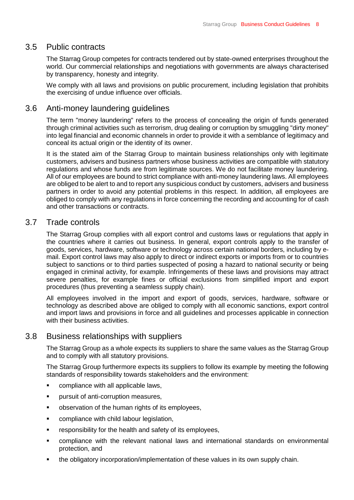#### <span id="page-7-0"></span>3.5 Public contracts

The Starrag Group competes for contracts tendered out by state-owned enterprises throughout the world. Our commercial relationships and negotiations with governments are always characterised by transparency, honesty and integrity.

We comply with all laws and provisions on public procurement, including legislation that prohibits the exercising of undue influence over officials.

### <span id="page-7-1"></span>3.6 Anti-money laundering guidelines

The term "money laundering" refers to the process of concealing the origin of funds generated through criminal activities such as terrorism, drug dealing or corruption by smuggling "dirty money" into legal financial and economic channels in order to provide it with a semblance of legitimacy and conceal its actual origin or the identity of its owner.

It is the stated aim of the Starrag Group to maintain business relationships only with legitimate customers, advisers and business partners whose business activities are compatible with statutory regulations and whose funds are from legitimate sources. We do not facilitate money laundering. All of our employees are bound to strict compliance with anti-money laundering laws. All employees are obliged to be alert to and to report any suspicious conduct by customers, advisers and business partners in order to avoid any potential problems in this respect. In addition, all employees are obliged to comply with any regulations in force concerning the recording and accounting for of cash and other transactions or contracts.

#### <span id="page-7-2"></span>3.7 Trade controls

The Starrag Group complies with all export control and customs laws or regulations that apply in the countries where it carries out business. In general, export controls apply to the transfer of goods, services, hardware, software or technology across certain national borders, including by email. Export control laws may also apply to direct or indirect exports or imports from or to countries subject to sanctions or to third parties suspected of posing a hazard to national security or being engaged in criminal activity, for example. Infringements of these laws and provisions may attract severe penalties, for example fines or official exclusions from simplified import and export procedures (thus preventing a seamless supply chain).

All employees involved in the import and export of goods, services, hardware, software or technology as described above are obliged to comply with all economic sanctions, export control and import laws and provisions in force and all guidelines and processes applicable in connection with their business activities.

### <span id="page-7-3"></span>3.8 Business relationships with suppliers

The Starrag Group as a whole expects its suppliers to share the same values as the Starrag Group and to comply with all statutory provisions.

The Starrag Group furthermore expects its suppliers to follow its example by meeting the following standards of responsibility towards stakeholders and the environment:

- **EXECOMPLEANCE With all applicable laws,**
- **•** pursuit of anti-corruption measures,
- observation of the human rights of its employees,
- **•** compliance with child labour legislation,
- responsibility for the health and safety of its employees,
- compliance with the relevant national laws and international standards on environmental protection, and
- the obligatory incorporation/implementation of these values in its own supply chain.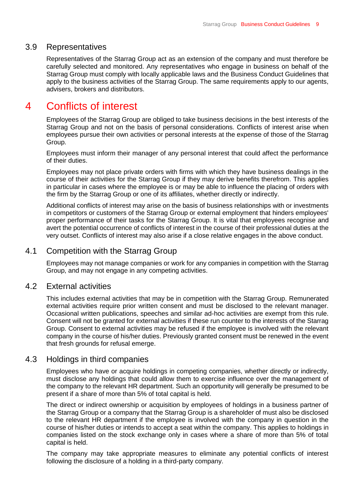### <span id="page-8-0"></span>3.9 Representatives

Representatives of the Starrag Group act as an extension of the company and must therefore be carefully selected and monitored. Any representatives who engage in business on behalf of the Starrag Group must comply with locally applicable laws and the Business Conduct Guidelines that apply to the business activities of the Starrag Group. The same requirements apply to our agents, advisers, brokers and distributors.

## <span id="page-8-1"></span>4 Conflicts of interest

Employees of the Starrag Group are obliged to take business decisions in the best interests of the Starrag Group and not on the basis of personal considerations. Conflicts of interest arise when employees pursue their own activities or personal interests at the expense of those of the Starrag Group.

Employees must inform their manager of any personal interest that could affect the performance of their duties.

Employees may not place private orders with firms with which they have business dealings in the course of their activities for the Starrag Group if they may derive benefits therefrom. This applies in particular in cases where the employee is or may be able to influence the placing of orders with the firm by the Starrag Group or one of its affiliates, whether directly or indirectly.

Additional conflicts of interest may arise on the basis of business relationships with or investments in competitors or customers of the Starrag Group or external employment that hinders employees' proper performance of their tasks for the Starrag Group. It is vital that employees recognise and avert the potential occurrence of conflicts of interest in the course of their professional duties at the very outset. Conflicts of interest may also arise if a close relative engages in the above conduct.

### <span id="page-8-2"></span>4.1 Competition with the Starrag Group

Employees may not manage companies or work for any companies in competition with the Starrag Group, and may not engage in any competing activities.

### <span id="page-8-3"></span>4.2 External activities

This includes external activities that may be in competition with the Starrag Group. Remunerated external activities require prior written consent and must be disclosed to the relevant manager. Occasional written publications, speeches and similar ad-hoc activities are exempt from this rule. Consent will not be granted for external activities if these run counter to the interests of the Starrag Group. Consent to external activities may be refused if the employee is involved with the relevant company in the course of his/her duties. Previously granted consent must be renewed in the event that fresh grounds for refusal emerge.

### <span id="page-8-4"></span>4.3 Holdings in third companies

Employees who have or acquire holdings in competing companies, whether directly or indirectly, must disclose any holdings that could allow them to exercise influence over the management of the company to the relevant HR department. Such an opportunity will generally be presumed to be present if a share of more than 5% of total capital is held.

The direct or indirect ownership or acquisition by employees of holdings in a business partner of the Starrag Group or a company that the Starrag Group is a shareholder of must also be disclosed to the relevant HR department if the employee is involved with the company in question in the course of his/her duties or intends to accept a seat within the company. This applies to holdings in companies listed on the stock exchange only in cases where a share of more than 5% of total capital is held.

The company may take appropriate measures to eliminate any potential conflicts of interest following the disclosure of a holding in a third-party company.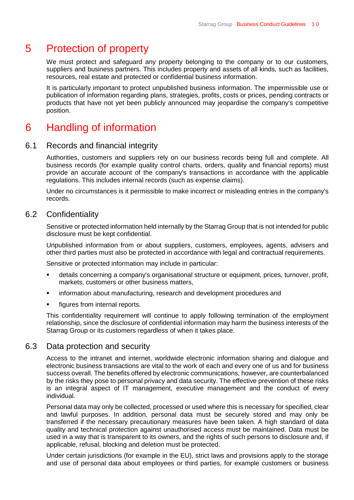# <span id="page-9-0"></span>5 Protection of property

We must protect and safeguard any property belonging to the company or to our customers, suppliers and business partners. This includes property and assets of all kinds, such as facilities, resources, real estate and protected or confidential business information.

It is particularly important to protect unpublished business information. The impermissible use or publication of information regarding plans, strategies, profits, costs or prices, pending contracts or products that have not yet been publicly announced may jeopardise the company's competitive position.

# <span id="page-9-1"></span>6 Handling of information

### <span id="page-9-2"></span>6.1 Records and financial integrity

Authorities, customers and suppliers rely on our business records being full and complete. All business records (for example quality control charts, orders, quality and financial reports) must provide an accurate account of the company's transactions in accordance with the applicable regulations. This includes internal records (such as expense claims).

Under no circumstances is it permissible to make incorrect or misleading entries in the company's records.

#### <span id="page-9-3"></span>6.2 Confidentiality

Sensitive or protected information held internally by the Starrag Group that is not intended for public disclosure must be kept confidential.

Unpublished information from or about suppliers, customers, employees, agents, advisers and other third parties must also be protected in accordance with legal and contractual requirements.

Sensitive or protected information may include in particular:

- details concerning a company's organisational structure or equipment, prices, turnover, profit, markets, customers or other business matters,
- information about manufacturing, research and development procedures and
- **Figures from internal reports.**

This confidentiality requirement will continue to apply following termination of the employment relationship, since the disclosure of confidential information may harm the business interests of the Starrag Group or its customers regardless of when it takes place.

### <span id="page-9-4"></span>6.3 Data protection and security

Access to the intranet and internet, worldwide electronic information sharing and dialogue and electronic business transactions are vital to the work of each and every one of us and for business success overall. The benefits offered by electronic communications, however, are counterbalanced by the risks they pose to personal privacy and data security. The effective prevention of these risks is an integral aspect of IT management, executive management and the conduct of every individual.

Personal data may only be collected, processed or used where this is necessary for specified, clear and lawful purposes. In addition, personal data must be securely stored and may only be transferred if the necessary precautionary measures have been taken. A high standard of data quality and technical protection against unauthorised access must be maintained. Data must be used in a way that is transparent to its owners, and the rights of such persons to disclosure and, if applicable, refusal, blocking and deletion must be protected.

Under certain jurisdictions (for example in the EU), strict laws and provisions apply to the storage and use of personal data about employees or third parties, for example customers or business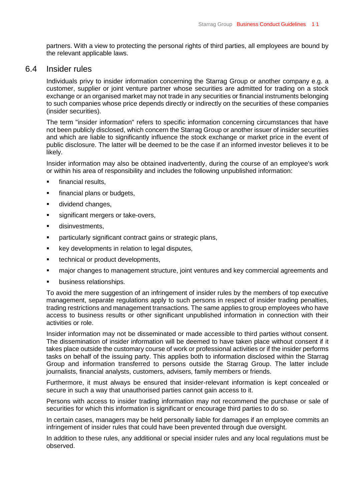partners. With a view to protecting the personal rights of third parties, all employees are bound by the relevant applicable laws.

#### <span id="page-10-0"></span>6.4 Insider rules

Individuals privy to insider information concerning the Starrag Group or another company e.g. a customer, supplier or joint venture partner whose securities are admitted for trading on a stock exchange or an organised market may not trade in any securities or financial instruments belonging to such companies whose price depends directly or indirectly on the securities of these companies (insider securities).

The term "insider information" refers to specific information concerning circumstances that have not been publicly disclosed, which concern the Starrag Group or another issuer of insider securities and which are liable to significantly influence the stock exchange or market price in the event of public disclosure. The latter will be deemed to be the case if an informed investor believes it to be likely.

Insider information may also be obtained inadvertently, during the course of an employee's work or within his area of responsibility and includes the following unpublished information:

- financial results,
- **financial plans or budgets,**
- **dividend changes,**
- significant mergers or take-overs,
- **disinvestments.**
- **Particularly significant contract gains or strategic plans,**
- **EXECT** key developments in relation to legal disputes,
- **technical or product developments,**
- major changes to management structure, joint ventures and key commercial agreements and
- business relationships.

To avoid the mere suggestion of an infringement of insider rules by the members of top executive management, separate regulations apply to such persons in respect of insider trading penalties, trading restrictions and management transactions. The same applies to group employees who have access to business results or other significant unpublished information in connection with their activities or role.

Insider information may not be disseminated or made accessible to third parties without consent. The dissemination of insider information will be deemed to have taken place without consent if it takes place outside the customary course of work or professional activities or if the insider performs tasks on behalf of the issuing party. This applies both to information disclosed within the Starrag Group and information transferred to persons outside the Starrag Group. The latter include journalists, financial analysts, customers, advisers, family members or friends.

Furthermore, it must always be ensured that insider-relevant information is kept concealed or secure in such a way that unauthorised parties cannot gain access to it.

Persons with access to insider trading information may not recommend the purchase or sale of securities for which this information is significant or encourage third parties to do so.

In certain cases, managers may be held personally liable for damages if an employee commits an infringement of insider rules that could have been prevented through due oversight.

In addition to these rules, any additional or special insider rules and any local regulations must be observed.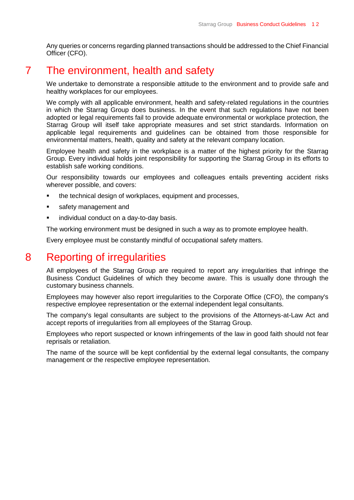Any queries or concerns regarding planned transactions should be addressed to the Chief Financial Officer (CFO).

## <span id="page-11-0"></span>7 The environment, health and safety

We undertake to demonstrate a responsible attitude to the environment and to provide safe and healthy workplaces for our employees.

We comply with all applicable environment, health and safety-related regulations in the countries in which the Starrag Group does business. In the event that such regulations have not been adopted or legal requirements fail to provide adequate environmental or workplace protection, the Starrag Group will itself take appropriate measures and set strict standards. Information on applicable legal requirements and guidelines can be obtained from those responsible for environmental matters, health, quality and safety at the relevant company location.

Employee health and safety in the workplace is a matter of the highest priority for the Starrag Group. Every individual holds joint responsibility for supporting the Starrag Group in its efforts to establish safe working conditions.

Our responsibility towards our employees and colleagues entails preventing accident risks wherever possible, and covers:

- the technical design of workplaces, equipment and processes,
- safety management and
- **i** individual conduct on a day-to-day basis.

The working environment must be designed in such a way as to promote employee health.

Every employee must be constantly mindful of occupational safety matters.

## <span id="page-11-1"></span>8 Reporting of irregularities

All employees of the Starrag Group are required to report any irregularities that infringe the Business Conduct Guidelines of which they become aware. This is usually done through the customary business channels.

Employees may however also report irregularities to the Corporate Office (CFO), the company's respective employee representation or the external independent legal consultants.

The company's legal consultants are subject to the provisions of the Attorneys-at-Law Act and accept reports of irregularities from all employees of the Starrag Group.

Employees who report suspected or known infringements of the law in good faith should not fear reprisals or retaliation.

The name of the source will be kept confidential by the external legal consultants, the company management or the respective employee representation.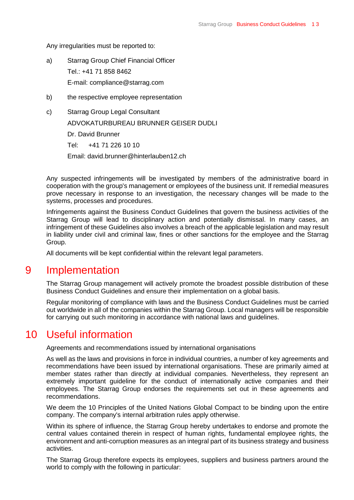Any irregularities must be reported to:

- a) Starrag Group Chief Financial Officer Tel.: +41 71 858 8462 E-mail: [compliance@starrag.com](mailto:compliance@starrag.com)
- b) the respective employee representation
- c) Starrag Group Legal Consultant ADVOKATURBUREAU BRUNNER GEISER DUDLI Dr. David Brunner Tel: +41 71 226 10 10 Email: [david.brunner@hinterlauben12.ch](mailto:david.brunner@hinterlauben12.ch)

Any suspected infringements will be investigated by members of the administrative board in cooperation with the group's management or employees of the business unit. If remedial measures prove necessary in response to an investigation, the necessary changes will be made to the systems, processes and procedures.

Infringements against the Business Conduct Guidelines that govern the business activities of the Starrag Group will lead to disciplinary action and potentially dismissal. In many cases, an infringement of these Guidelines also involves a breach of the applicable legislation and may result in liability under civil and criminal law, fines or other sanctions for the employee and the Starrag Group.

All documents will be kept confidential within the relevant legal parameters.

## <span id="page-12-0"></span>9 Implementation

The Starrag Group management will actively promote the broadest possible distribution of these Business Conduct Guidelines and ensure their implementation on a global basis.

Regular monitoring of compliance with laws and the Business Conduct Guidelines must be carried out worldwide in all of the companies within the Starrag Group. Local managers will be responsible for carrying out such monitoring in accordance with national laws and guidelines.

## <span id="page-12-1"></span>10 Useful information

Agreements and recommendations issued by international organisations

As well as the laws and provisions in force in individual countries, a number of key agreements and recommendations have been issued by international organisations. These are primarily aimed at member states rather than directly at individual companies. Nevertheless, they represent an extremely important guideline for the conduct of internationally active companies and their employees. The Starrag Group endorses the requirements set out in these agreements and recommendations.

We deem the 10 Principles of the United Nations Global Compact to be binding upon the entire company. The company's internal arbitration rules apply otherwise.

Within its sphere of influence, the Starrag Group hereby undertakes to endorse and promote the central values contained therein in respect of human rights, fundamental employee rights, the environment and anti-corruption measures as an integral part of its business strategy and business activities.

The Starrag Group therefore expects its employees, suppliers and business partners around the world to comply with the following in particular: